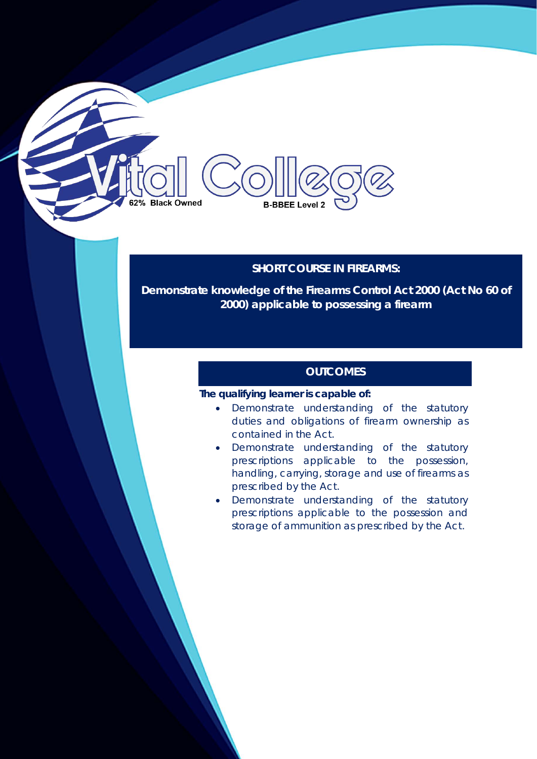### **SHORT COURSE IN FIREARMS:**

**Demonstrate knowledge of the Firearms Control Act 2000 (Act No 60 of 2000) applicable to possessing a firearm**

### **OUTCOMES**

#### **The qualifying learner is capable of:**

**B-BBEE Level 2** 

**Black Owned** 

- Demonstrate understanding of the statutory duties and obligations of firearm ownership as contained in the Act.
- Demonstrate understanding of the statutory prescriptions applicable to the possession, handling, carrying, storage and use of firearms as prescribed by the Act.
- Demonstrate understanding of the statutory prescriptions applicable to the possession and storage of ammunition as prescribed by the Act.

**PFTC ACCREDITED SAPS ACCREDITED**